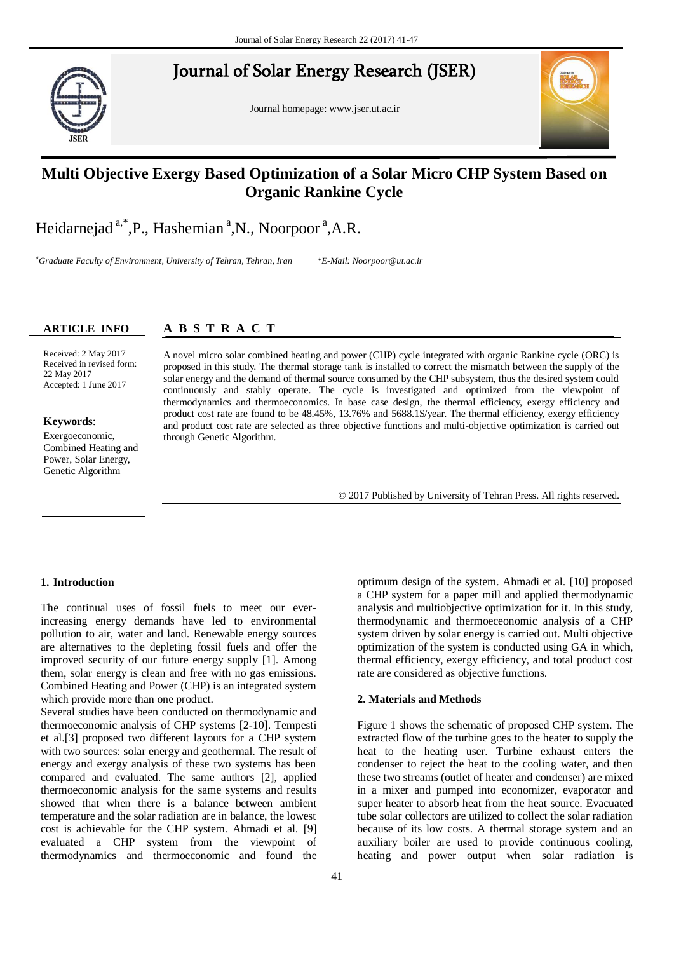# Journal of Solar Energy Research (JSER) Journal of Solar Energy Research (JSER)

Journal homepage: www.jser.ut.ac.ir



# **Comment Cycle Cycle of the title of the title cycle Multi Objective Exergy Based Optimization of a Solar Micro CHP System Based on**

Heidarnejad <sup>a,\*</sup>,P., Hashemian <sup>a</sup>,N., Noorpoor <sup>a</sup>,A.R.

Second affiliation, Address, City and Postcode, Country

*<sup>a</sup>First affiliation, Address, City and Postcode, Country <sup>a</sup>Graduate Faculty of Environment, University of Tehran, Tehran, Iran \*E-Mail: Noorpoor@ut.ac.ir*

#### **ARTICLE INFO**

#### <u>A B S A B C T R A C</u> **A B S T R A C T**

Received: Received: 2 May 2017 Received in revised form: Received in revised form: 22 May 2017 Accepted: 1 June 2017

### **Keywords**: **Keywords**:

b

Exergoeconomic, Combined Heating and Power, Solar Energy, Genetic Algorithm

solar energy and the demand of thermal source consumed by the CHP subsystem, thus the desired system could continuously and stably operate. The cycle is investigated and optimized from the viewpoint of thermodynamics and thermoeconomics. In base case design, the thermal efficiency, exergy efficiency and product cost rate are found to be 48.45%, 13.76% and 5688.1\$/year. The thermal efficiency, exergy efficiency and product cost rate are selected as three objective functions and multi-objective optimization is carried out through Genetic Algorithm. A novel micro solar combined heating and power (CHP) cycle integrated with organic Rankine cycle (ORC) is proposed in this study. The thermal storage tank is installed to correct the mismatch between the supply of the

© 2017 Published by University of Tehran Press. All rights reserved.

#### **1. Introduction**

The continual uses of fossil fuels to meet our everincreasing energy demands have led to environmental pollution to air, water and land. Renewable energy sources are alternatives to the depleting fossil fuels and offer the improved security of our future energy supply [\[1\]](#page-5-0). Among them, solar energy is clean and free with no gas emissions. Combined Heating and Power (CHP) is an integrated system which provide more than one product.

Several studies have been conducted on thermodynamic and thermoeconomic analysis of CHP systems [\[2-10\]](#page-5-1). Tempesti et al.[\[3\]](#page-5-2) proposed two different layouts for a CHP system with two sources: solar energy and geothermal. The result of energy and exergy analysis of these two systems has been compared and evaluated. The same authors [\[2\]](#page-5-1), applied thermoeconomic analysis for the same systems and results showed that when there is a balance between ambient temperature and the solar radiation are in balance, the lowest cost is achievable for the CHP system. Ahmadi et al. [\[9\]](#page-5-3) evaluated a CHP system from the viewpoint of thermodynamics and thermoeconomic and found the

optimum design of the system. Ahmadi et al. [\[10\]](#page-5-4) proposed a CHP system for a paper mill and applied thermodynamic analysis and multiobjective optimization for it. In this study, thermodynamic and thermoeceonomic analysis of a CHP system driven by solar energy is carried out. Multi objective optimization of the system is conducted using GA in which, thermal efficiency, exergy efficiency, and total product cost rate are considered as objective functions.

### **2. Materials and Methods**

Figure 1 shows the schematic of proposed CHP system. The extracted flow of the turbine goes to the heater to supply the heat to the heating user. Turbine exhaust enters the condenser to reject the heat to the cooling water, and then these two streams (outlet of heater and condenser) are mixed in a mixer and pumped into economizer, evaporator and super heater to absorb heat from the heat source. Evacuated tube solar collectors are utilized to collect the solar radiation because of its low costs. A thermal storage system and an auxiliary boiler are used to provide continuous cooling, heating and power output when solar radiation is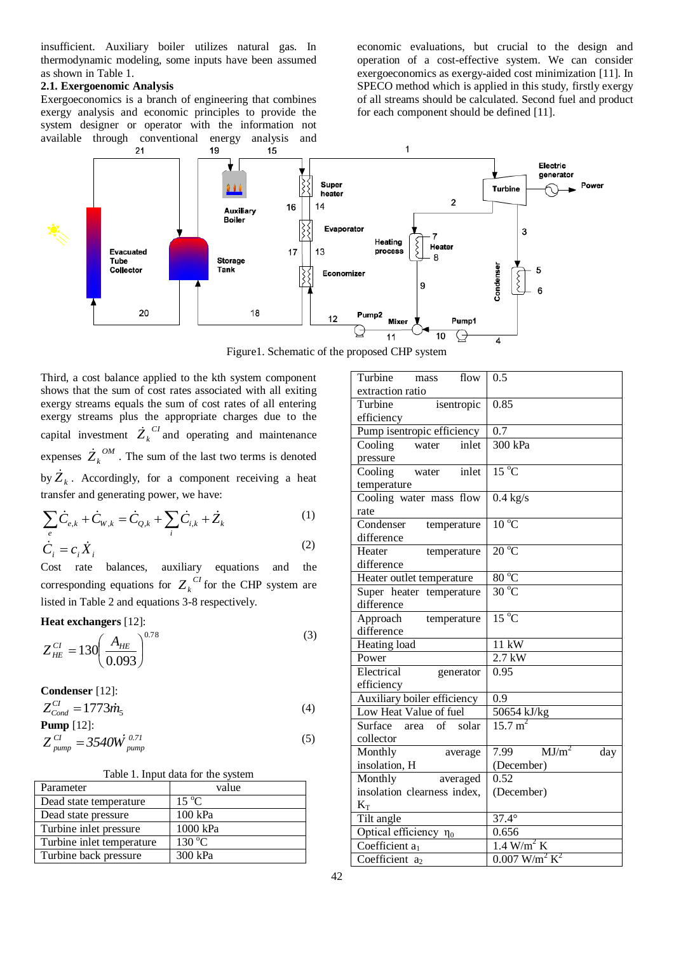insufficient. Auxiliary boiler utilizes natural gas. In thermodynamic modeling, some inputs have been assumed as shown in Table 1.

#### **2.1. Exergoenomic Analysis**

Exergoeconomics is a branch of engineering that combines exergy analysis and economic principles to provide the system designer or operator with the information not available through conventional energy analysis and economic evaluations, but crucial to the design and operation of a cost-effective system. We can consider exergoeconomics as exergy-aided cost minimization [\[11\]](#page-5-5). In SPECO method which is applied in this study, firstly exergy of all streams should be calculated. Second fuel and product for each component should be defined [\[11\]](#page-5-5).



Figure1. Schematic of the proposed CHP system

Third, a cost balance applied to the kth system component shows that the sum of cost rates associated with all exiting exergy streams equals the sum of cost rates of all entering exergy streams plus the appropriate charges due to the capital investment  $\dot{Z}_k^{\ \, CI}$  and operating and maintenance expenses  $\dot{Z}_k^{\text{OM}}$ . The sum of the last two terms is denoted by  $\dot{Z}_k$ . Accordingly, for a component receiving a heat

transfer and generating power, we have:  
\n
$$
\sum_{e} \dot{C}_{e,k} + \dot{C}_{W,k} = \dot{C}_{Q,k} + \sum_{i} \dot{C}_{i,k} + \dot{Z}_{k}
$$
\n(1)  
\n
$$
\dot{C}_{e} = C_{e} \dot{X}
$$
\n(2)

$$
\dot{C}_i = c_i \dot{X}_i
$$

Cost rate balances, auxiliary equations and the corresponding equations for  $Z_k^{CI}$  for the CHP system are listed in Table 2 and equations 3-8 respectively.

**Heat exchangers** [\[12\]](#page-5-6):

$$
Z_{HE}^{CI} = 130 \left( \frac{A_{HE}}{0.093} \right)^{0.78} \tag{3}
$$

**Condenser** [\[12\]](#page-5-6):  $Z_{Cond}^{CI} = 1773 \dot{m}_5$ (4) **Pump** [\[12\]](#page-5-6):

$$
Z_{pump}^{Cl} = 3540W_{pump}^{0.71}
$$
 (5)

|  |  | Table 1. Input data for the system |  |  |
|--|--|------------------------------------|--|--|
|--|--|------------------------------------|--|--|

| Parameter                 | value             |
|---------------------------|-------------------|
| Dead state temperature    | $15\text{ °C}$    |
| Dead state pressure       | 100 kPa           |
| Turbine inlet pressure    | 1000 kPa          |
| Turbine inlet temperature | $130\,^{\circ}$ C |
| Turbine back pressure     | 300 kPa           |

| Turbine<br>flow<br>mass     | 0.5                                     |
|-----------------------------|-----------------------------------------|
| extraction ratio            |                                         |
| Turbine<br>isentropic       | 0.85                                    |
| efficiency                  |                                         |
| Pump isentropic efficiency  | $\overline{0.7}$                        |
| Cooling<br>inlet<br>water   | 300 kPa                                 |
| pressure                    |                                         |
| water<br>Cooling<br>inlet   | $15^{\circ}$ C                          |
| temperature                 |                                         |
| Cooling water mass flow     | $0.4$ kg/s                              |
| rate                        |                                         |
| Condenser<br>temperature    | $10^{\circ}$ C                          |
| difference                  |                                         |
| Heater<br>temperature       | $20^{\circ}$ C                          |
| difference                  |                                         |
| Heater outlet temperature   | $80^{\circ}$ C                          |
| Super heater temperature    | $30^{\circ}$ C                          |
| difference                  |                                         |
| Approach<br>temperature     | $15^{\circ}$ C                          |
| difference                  |                                         |
| Heating load                | $11 \ \mathrm{kW}$                      |
| Power                       | $2.7$ kW                                |
| Electrical<br>generator     | 0.95                                    |
| efficiency                  |                                         |
| Auxiliary boiler efficiency | $\overline{0.9}$                        |
| Low Heat Value of fuel      | 50654 kJ/kg                             |
| Surface area of<br>solar    | $15.7 \text{ m}^2$                      |
| collector                   |                                         |
| Monthly<br>average          | MJ/m <sup>2</sup><br>7.99<br>day        |
| insolation, H               | (December)                              |
| Monthly<br>averaged         | 0.52                                    |
| insolation clearness index, |                                         |
|                             | (December)                              |
| $K_T$                       | $37.4^\circ$                            |
| Tilt angle                  |                                         |
| Optical efficiency $\eta_0$ | 0.656                                   |
| Coefficient a <sub>1</sub>  | $1.4$ W/m <sup>2</sup> K                |
| Coefficient $a_2$           | $0.007$ W/m <sup>2</sup> K <sup>2</sup> |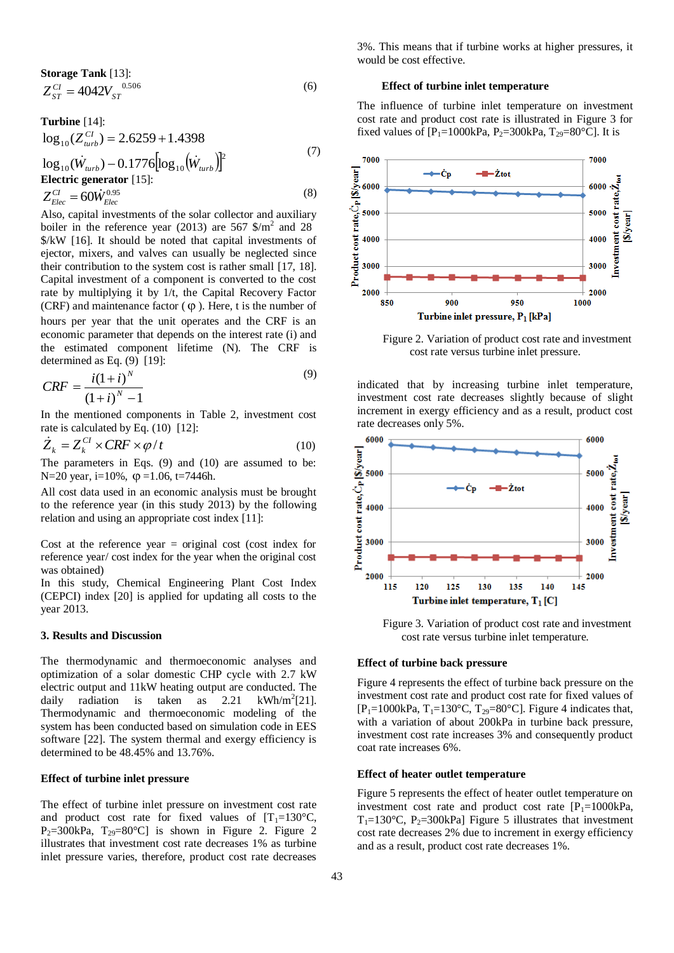**Storage Tank** [13]:  
\n
$$
Z_{ST}^{CI} = 4042V_{ST}^{0.506}
$$
\n(6)

**Turbine** [14]:  
\n
$$
\log_{10}(Z_{n\nu}^{CI}) = 2.6259 + 1.4398
$$
\n
$$
\log_{10}(\dot{W}_{n\nu} - 0.1776[\log_{10}(\dot{W}_{n\nu})]^2
$$
\n(7)

**Electric generator** [15]:  
\n
$$
Z_{Elec}^{CI} = 60 \dot{W}_{Elec}^{0.95}
$$
\n(8)

Also, capital investments of the solar collector and auxiliary boiler in the reference year (2013) are 567  $\gamma/m^2$  and 28 \$/kW [\[16\]](#page-5-10). It should be noted that capital investments of ejector, mixers, and valves can usually be neglected since their contribution to the system cost is rather small [\[17,](#page-5-11) [18\]](#page-5-12). Capital investment of a component is converted to the cost rate by multiplying it by 1/t, the Capital Recovery Factor (CRF) and maintenance factor  $(\varphi)$ . Here, t is the number of hours per year that the unit operates and the CRF is an economic parameter that depends on the interest rate (i) and the estimated component lifetime (N). The CRF is determined as Eq. (9) [\[19\]](#page-5-13):

$$
CRF = \frac{i(1+i)^{N}}{(1+i)^{N} - 1}
$$
\n(9)

In the mentioned components in Table 2, investment cost rate is calculated by Eq. (10) [\[12\]](#page-5-6):

$$
\dot{Z}_k = Z_k^{CI} \times CRF \times \varphi / t \tag{10}
$$

The parameters in Eqs. (9) and (10) are assumed to be: N=20 year, i=10%,  $\varphi$  =1.06, t=7446h.

All cost data used in an economic analysis must be brought to the reference year (in this study 2013) by the following relation and using an appropriate cost index [\[11\]](#page-5-5):

Cost at the reference year  $=$  original cost (cost index for reference year/ cost index for the year when the original cost was obtained)

In this study, Chemical Engineering Plant Cost Index (CEPCI) index [\[20\]](#page-5-14) is applied for updating all costs to the year 2013.

#### **3. Results and Discussion**

The thermodynamic and thermoeconomic analyses and optimization of a solar domestic CHP cycle with 2.7 kW electric output and 11kW heating output are conducted. The daily radiation is taken as  $2.21$  $kWh/m^2[21]$  $kWh/m^2[21]$ . Thermodynamic and thermoeconomic modeling of the system has been conducted based on simulation code in EES software [\[22\]](#page-5-16). The system thermal and exergy efficiency is determined to be 48.45% and 13.76%.

#### **Effect of turbine inlet pressure**

The effect of turbine inlet pressure on investment cost rate and product cost rate for fixed values of  $[T_1=130^{\circ}\text{C}$ ,  $P_2=300kPa$ ,  $T_{29}=80°C$  is shown in Figure 2. Figure 2. illustrates that investment cost rate decreases 1% as turbine inlet pressure varies, therefore, product cost rate decreases

3%. This means that if turbine works at higher pressures, it would be cost effective.

#### **Effect of turbine inlet temperature**

The influence of turbine inlet temperature on investment cost rate and product cost rate is illustrated in Figure 3 for fixed values of  $[P_1=1000kPa, P_2=300kPa, T_{29}=80°C]$ . It is



Figure 2. Variation of product cost rate and investment cost rate versus turbine inlet pressure.

indicated that by increasing turbine inlet temperature, investment cost rate decreases slightly because of slight increment in exergy efficiency and as a result, product cost rate decreases only 5%.



Figure 3. Variation of product cost rate and investment cost rate versus turbine inlet temperature.

#### **Effect of turbine back pressure**

Figure 4 represents the effect of turbine back pressure on the investment cost rate and product cost rate for fixed values of  $[P_1=1000kPa, T_1=130°C, T_2=80°C]$ . Figure 4 indicates that, with a variation of about 200kPa in turbine back pressure, investment cost rate increases 3% and consequently product coat rate increases 6%.

#### **Effect of heater outlet temperature**

Figure 5 represents the effect of heater outlet temperature on investment cost rate and product cost rate  $[P_1=1000kPa,$  $T_1=130^{\circ}$ C, P<sub>2</sub>=300kPa] Figure 5 illustrates that investment cost rate decreases 2% due to increment in exergy efficiency and as a result, product cost rate decreases 1%.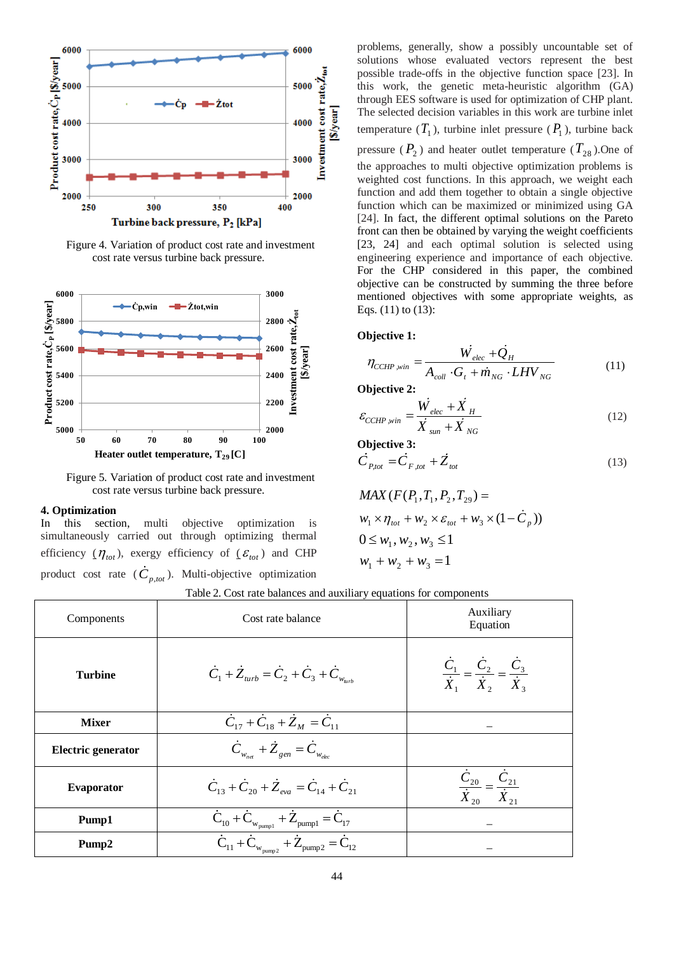

Figure 4. Variation of product cost rate and investment cost rate versus turbine back pressure.



Figure 5. Variation of product cost rate and investment cost rate versus turbine back pressure.

#### **4. Optimization**

In this section, multi objective optimization is simultaneously carried out through optimizing thermal efficiency  $(\eta_{tot})$ , exergy efficiency of  $(\varepsilon_{tot})$  and CHP product cost rate  $(\dot{C}_{p, tot})$ . Multi-objective optimization problems, generally, show a possibly uncountable set of solutions whose evaluated vectors represent the best possible trade-offs in the objective function space [\[23\]](#page-5-17). In this work, the genetic meta-heuristic algorithm (GA) through EES software is used for optimization of CHP plant. The selected decision variables in this work are turbine inlet temperature  $(T_1)$ , turbine inlet pressure  $(P_1)$ , turbine back

pressure  $(P_2)$  and heater outlet temperature  $(T_{28})$ . One of the approaches to multi objective optimization problems is weighted cost functions. In this approach, we weight each function and add them together to obtain a single objective function which can be maximized or minimized using GA [\[24\]](#page-5-18). In fact, the different optimal solutions on the Pareto front can then be obtained by varying the weight coefficients [\[23,](#page-5-17) [24\]](#page-5-18) and each optimal solution is selected using engineering experience and importance of each objective. For the CHP considered in this paper, the combined objective can be constructed by summing the three before mentioned objectives with some appropriate weights, as Eqs. (11) to (13):

#### **Objective 1:**

$$
bjective 1:\n\eta_{CCHP,win} = \frac{\dot{W}_{elec} + \dot{Q}_H}{A_{coll} \cdot G_t + \dot{m}_{NG} \cdot LHV_{NG}}
$$
\n(11)

**Objective 2:**

$$
\varepsilon_{CCHP,win} = \frac{\dot{W}_{elec} + \dot{X}_{H}}{\dot{X}_{sun} + \dot{X}_{NG}}
$$
\n(12)

**Objective 3:**

$$
\dot{C}_{P,tot} = \dot{C}_{F,tot} + \dot{Z}_{tot}
$$
\n(13)

$$
MAX (F(P_1, T_1, P_2, T_{29}) =
$$
  
\n
$$
w_1 \times \eta_{tot} + w_2 \times \varepsilon_{tot} + w_3 \times (1 - \dot{C}_p))
$$
  
\n
$$
0 \leq w_1, w_2, w_3 \leq 1
$$
  
\n
$$
w_1 + w_2 + w_3 = 1
$$

|  |  |  |  | Table 2. Cost rate balances and auxiliary equations for components |
|--|--|--|--|--------------------------------------------------------------------|
|  |  |  |  |                                                                    |

| Components                | Cost rate balance                                                                                                                                 | Auxiliary<br>Equation                                                   |
|---------------------------|---------------------------------------------------------------------------------------------------------------------------------------------------|-------------------------------------------------------------------------|
| <b>Turbine</b>            | $\dot{C}_1 + \dot{Z}_{turb} = \dot{C}_2 + \dot{C}_3 + \dot{C}_{w_{turb}}$                                                                         | $\frac{C_1}{\dot{X}_1} = \frac{C_2}{\dot{X}_2} = \frac{C_3}{\dot{X}_3}$ |
| <b>Mixer</b>              | $\dot{C}_{17} + \dot{C}_{18} + \dot{Z}_M = \dot{C}_{11}$                                                                                          |                                                                         |
| <b>Electric generator</b> | $\dot{C}_{w_{net}} + \dot{Z}_{gen} = \dot{C}_{w_{elec}}$                                                                                          |                                                                         |
| Evaporator                | $\dot{C}_{13} + \dot{C}_{20} + \dot{Z}_{\text{eva}} = \dot{C}_{14} + \dot{C}_{21}$                                                                |                                                                         |
| Pump1                     |                                                                                                                                                   |                                                                         |
| Pump2                     | $\frac{\dot{C}_{10} + \dot{C}_{w_{pump1}} + \dot{Z}_{pump1} = \dot{C}_{17}}{\dot{C}_{11} + \dot{C}_{w_{pump2}} + \dot{Z}_{pump2} = \dot{C}_{12}}$ |                                                                         |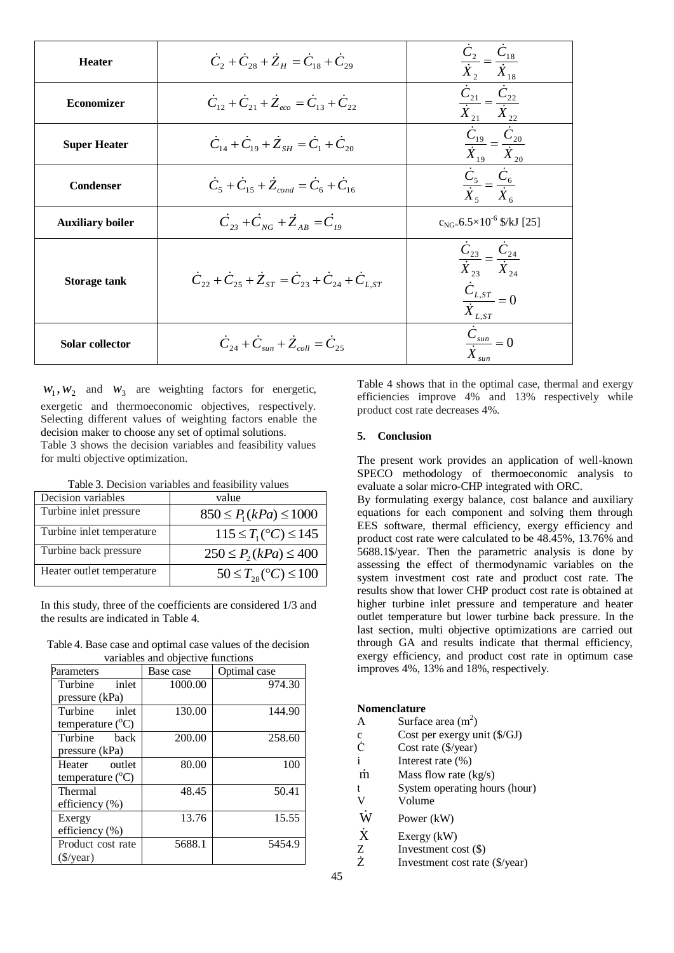| <b>Heater</b>           | $\dot{C}_2 + \dot{C}_{28} + \dot{Z}_H = \dot{C}_{18} + \dot{C}_{29}$                 | $\frac{\dot{C}_2}{\dot{X}_2} = \frac{\dot{C}_{18}}{\dot{X}_{18}}$                                                   |
|-------------------------|--------------------------------------------------------------------------------------|---------------------------------------------------------------------------------------------------------------------|
| <b>Economizer</b>       | $\dot{C}_{12} + \dot{C}_{21} + \dot{Z}_{acc} = \dot{C}_{13} + \dot{C}_{22}$          | $\frac{\dot{C}_{21}}{\dot{X}_{21}} = \frac{\dot{C}_{22}}{\dot{X}_{22}}$<br>$\bar{\dot{X}}_{21}$                     |
| <b>Super Heater</b>     | $C_{14} + C_{19} + Z_{5H} = C_1 + C_{20}$                                            | $\frac{\dot{C}_{19}}{\dot{X}_{19}} = \frac{\dot{C}_{20}}{\dot{X}_{20}}$                                             |
| <b>Condenser</b>        | $\dot{C}_5 + \dot{C}_{15} + \dot{Z}_{cond} = \dot{C}_6 + \dot{C}_{16}$               | $\frac{\dot{C}_5}{\dot{X}_5} = \frac{\dot{C}_6}{\dot{X}_6}$                                                         |
| <b>Auxiliary boiler</b> | $\dot{C}_{23} + \dot{C}_{NG} + \dot{Z}_{AB} = \dot{C}_{10}$                          | $c_{NG=}$ 6.5×10 <sup>-6</sup> \$/kJ [25]                                                                           |
| <b>Storage tank</b>     | $\dot{C}_{22} + \dot{C}_{25} + \dot{Z}_{ST} = \dot{C}_{23} + \dot{C}_{24} + C_{LST}$ | $\frac{C_{23}}{C_{23}} = \frac{C_{24}}{C_{24}}$<br>$X_{23}$ $X_{24}$<br>$\frac{\dot{C}_{L,ST}}{\dot{X}_{L,ST}} = 0$ |
| Solar collector         | $\dot{C}_{24} + \dot{C}_{sur} + \dot{Z}_{coll} = \dot{C}_{25}$                       | $\frac{\dot{C}_{sun}}{\dot{X}_{sun}} = 0$                                                                           |

 $W_1, W_2$  and  $W_3$  are weighting factors for energetic, exergetic and thermoeconomic objectives, respectively. Selecting different values of weighting factors enable the decision maker to choose any set of optimal solutions. Table 3 shows the decision variables and feasibility values for multi objective optimization.

Table 3. Decision variables and feasibility values

| Decision variables        | value                              |
|---------------------------|------------------------------------|
| Turbine inlet pressure    | $850 \le P_1(kPa) \le 1000$        |
| Turbine inlet temperature | $115 \le T_1({}^{\circ}C) \le 145$ |
| Turbine back pressure     | $250 \le P_2(kPa) \le 400$         |
| Heater outlet temperature | $50 \le T_{28}$ (°C) $\le 100$     |

In this study, three of the coefficients are considered 1/3 and the results are indicated in Table 4.

Table 4. Base case and optimal case values of the decision variables and objective functions

| Parameters                | Base case | Optimal case |
|---------------------------|-----------|--------------|
| Turbine<br>inlet          | 1000.00   | 974.30       |
| pressure (kPa)            |           |              |
| Turbine<br>inlet          | 130.00    | 144.90       |
| temperature $(^{\circ}C)$ |           |              |
| Turbine<br>back           | 200.00    | 258.60       |
| pressure (kPa)            |           |              |
| Heater outlet             | 80.00     | 100          |
| temperature $(^{\circ}C)$ |           |              |
| Thermal                   | 48.45     | 50.41        |
| efficiency (%)            |           |              |
| Exergy                    | 13.76     | 15.55        |
| efficiency (%)            |           |              |
| Product cost rate         | 5688.1    | 5454.9       |
| $(\frac{\sqrt{}}{2})$     |           |              |

Table 4 shows that in the optimal case, thermal and exergy efficiencies improve 4% and 13% respectively while product cost rate decreases 4%.

### **5. Conclusion**

The present work provides an application of well-known SPECO methodology of thermoeconomic analysis to evaluate a solar micro-CHP integrated with ORC.

By formulating exergy balance, cost balance and auxiliary equations for each component and solving them through EES software, thermal efficiency, exergy efficiency and product cost rate were calculated to be 48.45%, 13.76% and 5688.1\$/year. Then the parametric analysis is done by assessing the effect of thermodynamic variables on the system investment cost rate and product cost rate. The results show that lower CHP product cost rate is obtained at higher turbine inlet pressure and temperature and heater outlet temperature but lower turbine back pressure. In the last section, multi objective optimizations are carried out through GA and results indicate that thermal efficiency, exergy efficiency, and product cost rate in optimum case improves 4%, 13% and 18%, respectively.

#### **Nomenclature**

- A Surface area  $(m^2)$
- c Cost per exergy unit (\$/GJ)
- Ċ Cost rate (\$/year)
- i Interest rate (%)
- m Mass flow rate (kg/s)
- t System operating hours (hour)
- V Volume
- W Power (kW)
- X Exergy (kW)
- Z Investment cost (\$)
- Ż Investment cost rate (\$/year)